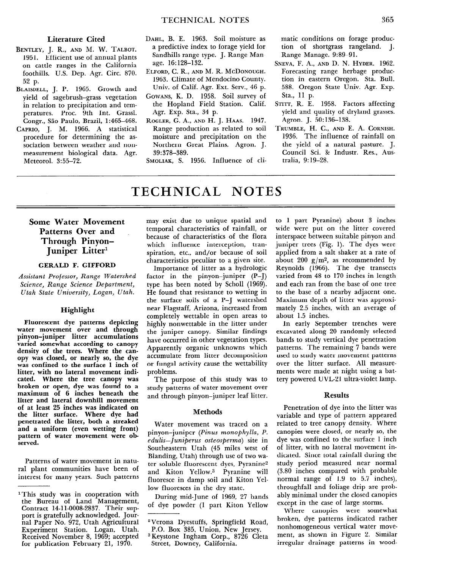# **TECHNICAL NOTES**

**Some Water Movement Patterns Over and Through Pinyon-Juniper Litter1** 

#### **GERALD F. GIFFORD**

*Assistant Professor, Range Watershed Science, Range Science Department, Utah State University, Logan, Utah.* 

## **Highlight**

**Fluorescent dye patterns depicting water movement over and through pinyon-juniper litter accumulations varied somewhat according to canopy**  varied somewhat according to canopy density of the trees. Where the can**opy was closed, or nearly so, the dye was confined to the surface 1 inch of little intervent in the movement indi-**<br> **l**<sub>1</sub> reter, with no fateral movement murcated. Where the tree canopy was broken or open, dye was found to a **litter and lateral downhill movement**  miter and fateral downling movement **the little surface.** When the little surface during the little surface during the little surface of the little surface of the little surface. The little surface of the little surface of the little surface. the litter surface. Where dye had penetrated the litter, both a streaked and a uniform (even wetting front) pattern of water movement were observed.

Patterns of water movement in naturatterns of water movement in natural plant communities have been of<br>interest for many years. Such patterns

may exist due to unique spatial and temporal characteristics of rainfall, or because of characteristics of the flora which influence interception, transpiration, etc., and/or because of soil characteristics peculiar to a given site.

Importance of litter as a hydrologic factor in the pinyon-juniper (P-J) type has been noted by Scholl (1969). He found that resistance to wetting in the surface soils of a P-J watershed near Flagstaff, Arizona, increased from completely wettable in open areas to highly nonwettable in the litter under the juniper canopy. Similar findings have occurred in other vegetation types. Apparently organic unknowns which accumulate from litter decomposition or fungal activity cause the wettability problems.

The purpose of this study was to study patterns of water movement over and through pinyon-juniper leaf litter.

### **Methods**

Water movement was traced on a set of  $\mathcal{L}$ ping *indictive and the stated on a* pinyon-juniper (Pinus monophylla, P. edulis-Juniperus osteosperma) site in Southeastern Utah (45 miles west of Blanding, Utah) through use of two water soluble fluorescent dyes, Pyranine<sup>2</sup> and Kiton Yellow.<sup>3</sup> Pyranine will fluoresce in damp soil and Kiton Yellow fluoresces in the dry state.

During mid-June of 1969, 27 bands<br>of dye powder (1 part Kiton Yellow

to 1 part Pyranine) about 3 inches wide were put on the litter covered interspace between suitable pinyon and juniper trees (Fig. 1). The dyes were applied from a salt shaker at a rate of about 200  $g/m^2$ , as recommended by Reynolds (1966). The dye transects varied from 48 to 170 inches in length and each ran from the base of one tree to the base of a nearby adjacent one. Maximum depth of litter was approximately 2.5 inches, with an average of about 1.5 inches.

In early September trenches were excavated along 20 randomly selected bands to study vertical dye penetration patterns. The remaining 7 bands were used to study water movement patterns over the litter surface. All measurements were made at night using a battery powered UVL-21 ultra-violet lamp.

# **Results**

**Penetration of dye into the litter was variable and type of pattern appeared**  relative and type of pattern appeared related to tree camp, achieve, where canopies were closed, or nearly so, the dye was confined to the surface 1 inch of litter, with no lateral movement in**study period measured near normal (3.80 inches compared with probable normal range of 1.9 to 5.7 inches),**  normal range of 1.9 to 5.7 inches), throughfall and foliage drip are probably minimal under the closed canopies except in the case of large storms.

Where canopies were somewhat broken, dye patterns indicated rather nonhomogeneous vertical water move**irregular drainage patterns in wood-** 

l<del>this study was in coop</del>eration with the study was in cooperation with the study was in cooperation with the study with the study was in the study was in the study was in the study was in the study was in the study was in <sup>1</sup>This study was in cooperation with the Bureau of Land Management, Contract 14-11-0008-2837. Their support is gratefully acknowledged. Journal Paper No. 972, Utah Agricultural Experiment Station, Logan, Utah. Received November 8, 1969; accepted<br>for publication February 21, 1970.

<sup>2</sup> Verona Dyestuffs, Springfield Road, Springfield Road, Springfield Road, Springfield Road, Springfield Road,<br>2 November – Die Stern State Springfield Road, Springfield Road, Springfield Road, Springfield Road, Springfie Verona Dyestuffs, Springfield Roa P.O. Box 385, Union, New Jersey.

<sup>&</sup>lt;sup>3</sup> Keystone Ingham Corp., 8726 Cleta<br>Street, Downey, California.